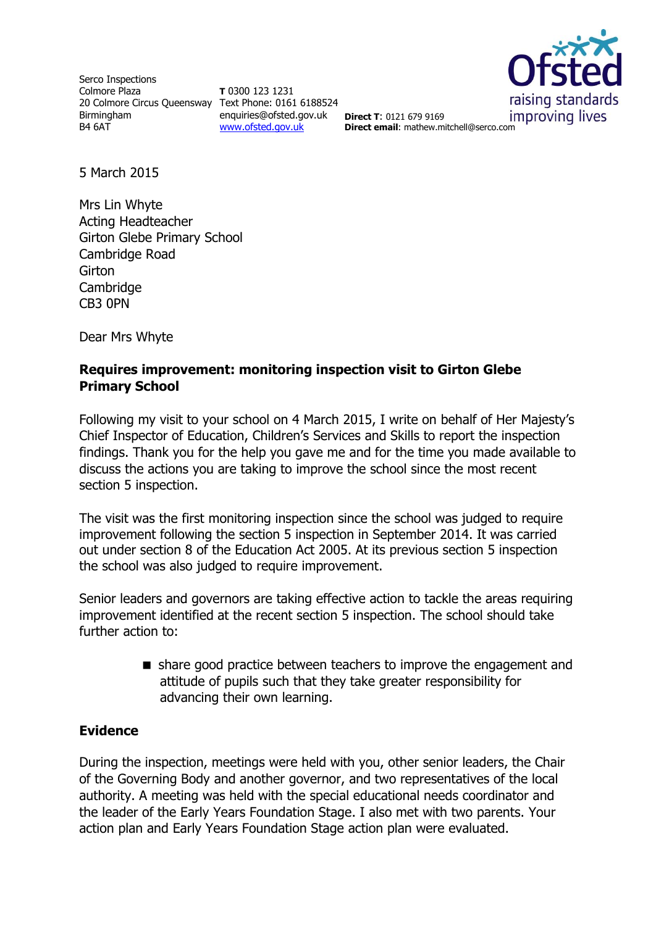Serco Inspections Colmore Plaza 20 Colmore Circus Queensway Text Phone: 0161 6188524 Birmingham B4 6AT

**T** 0300 123 1231 enquiries@ofsted.gov.uk [www.ofsted.gov.uk](http://www.ofsted.gov.uk/)



**Direct T**: 0121 679 9169 **Direct email**: mathew.mitchell@serco.com

5 March 2015

Mrs Lin Whyte Acting Headteacher Girton Glebe Primary School Cambridge Road **Girton Cambridge** CB3 0PN

Dear Mrs Whyte

# **Requires improvement: monitoring inspection visit to Girton Glebe Primary School**

Following my visit to your school on 4 March 2015, I write on behalf of Her Majesty's Chief Inspector of Education, Children's Services and Skills to report the inspection findings. Thank you for the help you gave me and for the time you made available to discuss the actions you are taking to improve the school since the most recent section 5 inspection.

The visit was the first monitoring inspection since the school was judged to require improvement following the section 5 inspection in September 2014. It was carried out under section 8 of the Education Act 2005. At its previous section 5 inspection the school was also judged to require improvement.

Senior leaders and governors are taking effective action to tackle the areas requiring improvement identified at the recent section 5 inspection. The school should take further action to:

> share good practice between teachers to improve the engagement and attitude of pupils such that they take greater responsibility for advancing their own learning.

## **Evidence**

During the inspection, meetings were held with you, other senior leaders, the Chair of the Governing Body and another governor, and two representatives of the local authority. A meeting was held with the special educational needs coordinator and the leader of the Early Years Foundation Stage. I also met with two parents. Your action plan and Early Years Foundation Stage action plan were evaluated.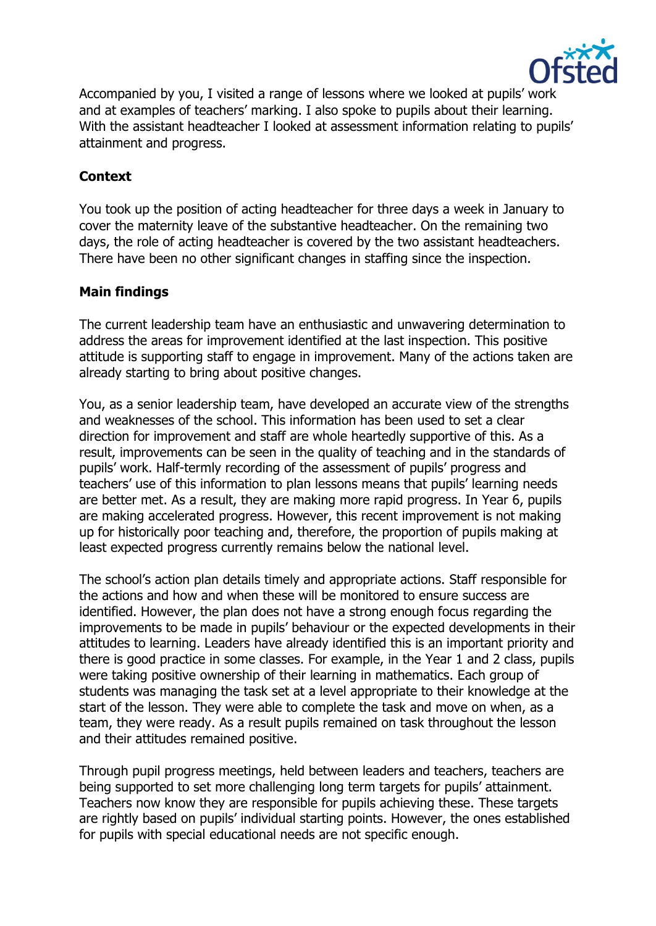

Accompanied by you, I visited a range of lessons where we looked at pupils' work and at examples of teachers' marking. I also spoke to pupils about their learning. With the assistant headteacher I looked at assessment information relating to pupils' attainment and progress.

# **Context**

You took up the position of acting headteacher for three days a week in January to cover the maternity leave of the substantive headteacher. On the remaining two days, the role of acting headteacher is covered by the two assistant headteachers. There have been no other significant changes in staffing since the inspection.

## **Main findings**

The current leadership team have an enthusiastic and unwavering determination to address the areas for improvement identified at the last inspection. This positive attitude is supporting staff to engage in improvement. Many of the actions taken are already starting to bring about positive changes.

You, as a senior leadership team, have developed an accurate view of the strengths and weaknesses of the school. This information has been used to set a clear direction for improvement and staff are whole heartedly supportive of this. As a result, improvements can be seen in the quality of teaching and in the standards of pupils' work. Half-termly recording of the assessment of pupils' progress and teachers' use of this information to plan lessons means that pupils' learning needs are better met. As a result, they are making more rapid progress. In Year 6, pupils are making accelerated progress. However, this recent improvement is not making up for historically poor teaching and, therefore, the proportion of pupils making at least expected progress currently remains below the national level.

The school's action plan details timely and appropriate actions. Staff responsible for the actions and how and when these will be monitored to ensure success are identified. However, the plan does not have a strong enough focus regarding the improvements to be made in pupils' behaviour or the expected developments in their attitudes to learning. Leaders have already identified this is an important priority and there is good practice in some classes. For example, in the Year 1 and 2 class, pupils were taking positive ownership of their learning in mathematics. Each group of students was managing the task set at a level appropriate to their knowledge at the start of the lesson. They were able to complete the task and move on when, as a team, they were ready. As a result pupils remained on task throughout the lesson and their attitudes remained positive.

Through pupil progress meetings, held between leaders and teachers, teachers are being supported to set more challenging long term targets for pupils' attainment. Teachers now know they are responsible for pupils achieving these. These targets are rightly based on pupils' individual starting points. However, the ones established for pupils with special educational needs are not specific enough.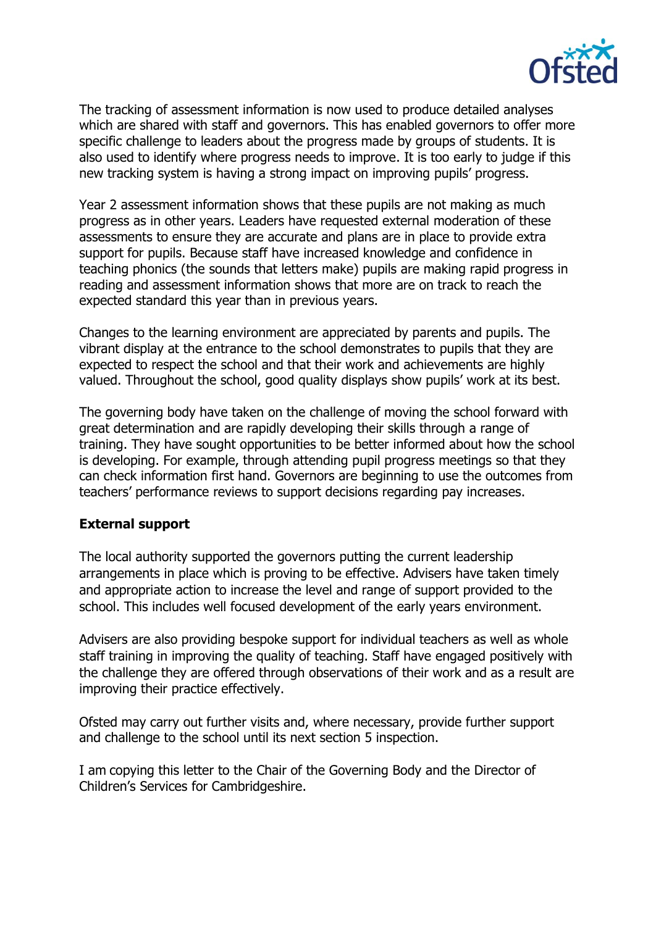

The tracking of assessment information is now used to produce detailed analyses which are shared with staff and governors. This has enabled governors to offer more specific challenge to leaders about the progress made by groups of students. It is also used to identify where progress needs to improve. It is too early to judge if this new tracking system is having a strong impact on improving pupils' progress.

Year 2 assessment information shows that these pupils are not making as much progress as in other years. Leaders have requested external moderation of these assessments to ensure they are accurate and plans are in place to provide extra support for pupils. Because staff have increased knowledge and confidence in teaching phonics (the sounds that letters make) pupils are making rapid progress in reading and assessment information shows that more are on track to reach the expected standard this year than in previous years.

Changes to the learning environment are appreciated by parents and pupils. The vibrant display at the entrance to the school demonstrates to pupils that they are expected to respect the school and that their work and achievements are highly valued. Throughout the school, good quality displays show pupils' work at its best.

The governing body have taken on the challenge of moving the school forward with great determination and are rapidly developing their skills through a range of training. They have sought opportunities to be better informed about how the school is developing. For example, through attending pupil progress meetings so that they can check information first hand. Governors are beginning to use the outcomes from teachers' performance reviews to support decisions regarding pay increases.

### **External support**

The local authority supported the governors putting the current leadership arrangements in place which is proving to be effective. Advisers have taken timely and appropriate action to increase the level and range of support provided to the school. This includes well focused development of the early years environment.

Advisers are also providing bespoke support for individual teachers as well as whole staff training in improving the quality of teaching. Staff have engaged positively with the challenge they are offered through observations of their work and as a result are improving their practice effectively.

Ofsted may carry out further visits and, where necessary, provide further support and challenge to the school until its next section 5 inspection.

I am copying this letter to the Chair of the Governing Body and the Director of Children's Services for Cambridgeshire.